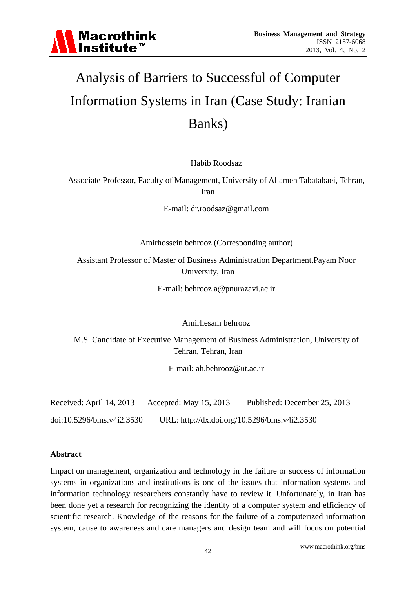

# Analysis of Barriers to Successful of Computer Information Systems in Iran (Case Study: Iranian Banks)

Habib Roodsaz

Associate Professor, Faculty of Management, University of Allameh Tabatabaei, Tehran, Iran

E-mail: dr.roodsaz@gmail.com

Amirhossein behrooz (Corresponding author)

Assistant Professor of Master of Business Administration Department,Payam Noor University, Iran

E-mail: [behrooz.a@pnurazavi.ac.ir](mailto:behrooz.a@pnurazavi.ac.ir)

Amirhesam behrooz

M.S. Candidate of Executive Management of Business Administration, University of Tehran, Tehran, Iran

E-mail: [ah.behrooz@ut.ac.ir](mailto:ah.behrooz@ut.ac.ir)

| Received: April 14, 2013  | Accepted: May $15, 2013$                     | Published: December 25, 2013 |
|---------------------------|----------------------------------------------|------------------------------|
| doi:10.5296/bms.v4i2.3530 | URL: http://dx.doi.org/10.5296/bms.v4i2.3530 |                              |

### **Abstract**

Impact on management, organization and technology in the failure or success of information systems in organizations and institutions is one of the issues that information systems and information technology researchers constantly have to review it. Unfortunately, in Iran has been done yet a research for recognizing the identity of a computer system and efficiency of scientific research. Knowledge of the reasons for the failure of a computerized information system, cause to awareness and care managers and design team and will focus on potential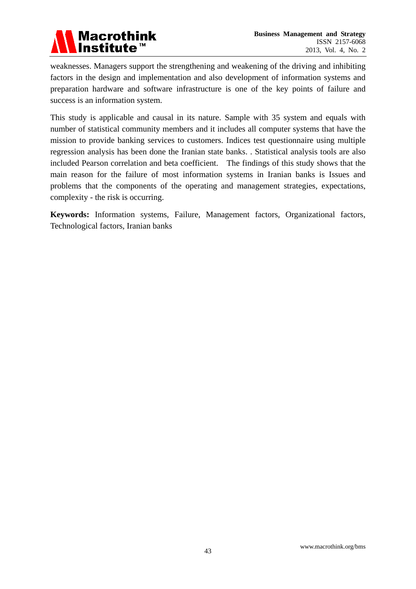

weaknesses. Managers support the strengthening and weakening of the driving and inhibiting factors in the design and implementation and also development of information systems and preparation hardware and software infrastructure is one of the key points of failure and success is an information system.

This study is applicable and causal in its nature. Sample with 35 system and equals with number of statistical community members and it includes all computer systems that have the mission to provide banking services to customers. Indices test questionnaire using multiple regression analysis has been done the Iranian state banks. . Statistical analysis tools are also included Pearson correlation and beta coefficient. The findings of this study shows that the main reason for the failure of most information systems in Iranian banks is Issues and problems that the components of the operating and management strategies, expectations, complexity - the risk is occurring.

**Keywords:** Information systems, Failure, Management factors, Organizational factors, Technological factors, Iranian banks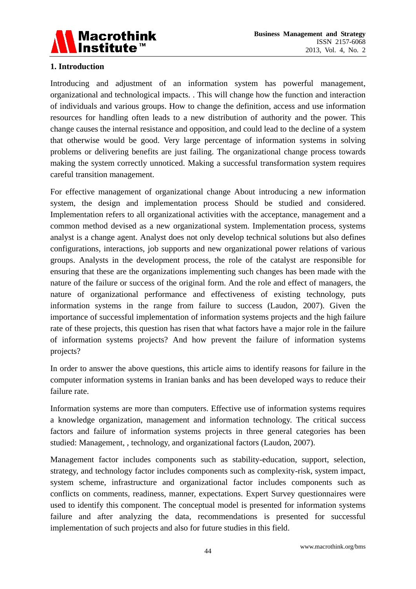

# **1. Introduction**

Introducing and adjustment of an information system has powerful management, organizational and technological impacts. . This will change how the function and interaction of individuals and various groups. How to change the definition, access and use information resources for handling often leads to a new distribution of authority and the power. This change causes the internal resistance and opposition, and could lead to the decline of a system that otherwise would be good. Very large percentage of information systems in solving problems or delivering benefits are just failing. The organizational change process towards making the system correctly unnoticed. Making a successful transformation system requires careful transition management.

For effective management of organizational change About introducing a new information system, the design and implementation process Should be studied and considered. Implementation refers to all organizational activities with the acceptance, management and a common method devised as a new organizational system. Implementation process, systems analyst is a change agent. Analyst does not only develop technical solutions but also defines configurations, interactions, job supports and new organizational power relations of various groups. Analysts in the development process, the role of the catalyst are responsible for ensuring that these are the organizations implementing such changes has been made with the nature of the failure or success of the original form. And the role and effect of managers, the nature of organizational performance and effectiveness of existing technology, puts information systems in the range from failure to success (Laudon, 2007). Given the importance of successful implementation of information systems projects and the high failure rate of these projects, this question has risen that what factors have a major role in the failure of information systems projects? And how prevent the failure of information systems projects?

In order to answer the above questions, this article aims to identify reasons for failure in the computer information systems in Iranian banks and has been developed ways to reduce their failure rate.

Information systems are more than computers. Effective use of information systems requires a knowledge organization, management and information technology. The critical success factors and failure of information systems projects in three general categories has been studied: Management, , technology, and organizational factors (Laudon, 2007).

Management factor includes components such as stability-education, support, selection, strategy, and technology factor includes components such as complexity-risk, system impact, system scheme, infrastructure and organizational factor includes components such as conflicts on comments, readiness, manner, expectations. Expert Survey questionnaires were used to identify this component. The conceptual model is presented for information systems failure and after analyzing the data, recommendations is presented for successful implementation of such projects and also for future studies in this field.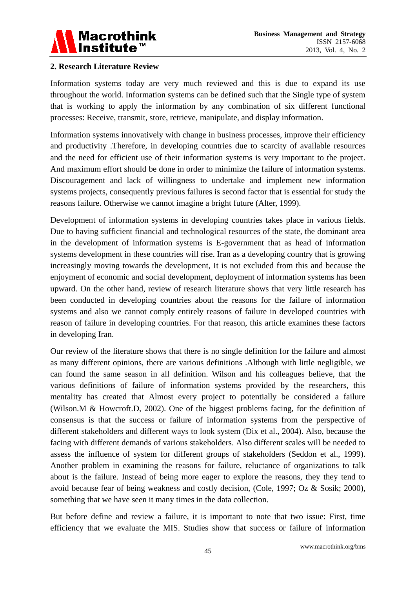

## **2. Research Literature Review**

Information systems today are very much reviewed and this is due to expand its use throughout the world. Information systems can be defined such that the Single type of system that is working to apply the information by any combination of six different functional processes: Receive, transmit, store, retrieve, manipulate, and display information.

Information systems innovatively with change in business processes, improve their efficiency and productivity .Therefore, in developing countries due to scarcity of available resources and the need for efficient use of their information systems is very important to the project. And maximum effort should be done in order to minimize the failure of information systems. Discouragement and lack of willingness to undertake and implement new information systems projects, consequently previous failures is second factor that is essential for study the reasons failure. Otherwise we cannot imagine a bright future (Alter, 1999).

Development of information systems in developing countries takes place in various fields. Due to having sufficient financial and technological resources of the state, the dominant area in the development of information systems is E-government that as head of information systems development in these countries will rise. Iran as a developing country that is growing increasingly moving towards the development, It is not excluded from this and because the enjoyment of economic and social development, deployment of information systems has been upward. On the other hand, review of research literature shows that very little research has been conducted in developing countries about the reasons for the failure of information systems and also we cannot comply entirely reasons of failure in developed countries with reason of failure in developing countries. For that reason, this article examines these factors in developing Iran.

Our review of the literature shows that there is no single definition for the failure and almost as many different opinions, there are various definitions .Although with little negligible, we can found the same season in all definition. Wilson and his colleagues believe, that the various definitions of failure of information systems provided by the researchers, this mentality has created that Almost every project to potentially be considered a failure (Wilson.M & Howcroft.D, 2002). One of the biggest problems facing, for the definition of consensus is that the success or failure of information systems from the perspective of different stakeholders and different ways to look system (Dix et al., 2004). Also, because the facing with different demands of various stakeholders. Also different scales will be needed to assess the influence of system for different groups of stakeholders (Seddon et al., 1999). Another problem in examining the reasons for failure, reluctance of organizations to talk about is the failure. Instead of being more eager to explore the reasons, they they tend to avoid because fear of being weakness and costly decision, (Cole, 1997; Oz & Sosik; 2000), something that we have seen it many times in the data collection.

But before define and review a failure, it is important to note that two issue: First, time efficiency that we evaluate the MIS. Studies show that success or failure of information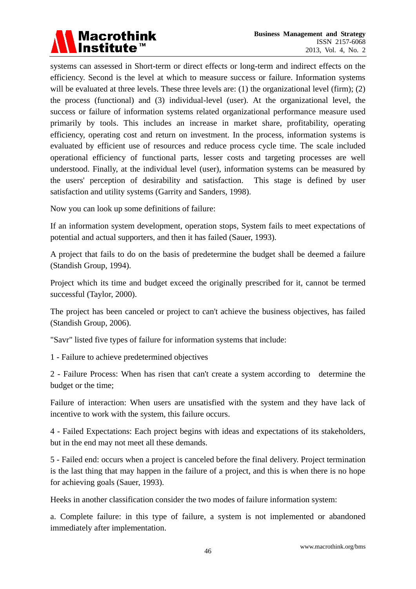

systems can assessed in Short-term or direct effects or long-term and indirect effects on the efficiency. Second is the level at which to measure success or failure. Information systems will be evaluated at three levels. These three levels are: (1) the organizational level (firm); (2) the process (functional) and (3) individual-level (user). At the organizational level, the success or failure of information systems related organizational performance measure used primarily by tools. This includes an increase in market share, profitability, operating efficiency, operating cost and return on investment. In the process, information systems is evaluated by efficient use of resources and reduce process cycle time. The scale included operational efficiency of functional parts, lesser costs and targeting processes are well understood. Finally, at the individual level (user), information systems can be measured by the users' perception of desirability and satisfaction. This stage is defined by user satisfaction and utility systems (Garrity and Sanders, 1998).

Now you can look up some definitions of failure:

If an information system development, operation stops, System fails to meet expectations of potential and actual supporters, and then it has failed (Sauer, 1993).

A project that fails to do on the basis of predetermine the budget shall be deemed a failure (Standish Group, 1994).

Project which its time and budget exceed the originally prescribed for it, cannot be termed successful (Taylor, 2000).

The project has been canceled or project to can't achieve the business objectives, has failed (Standish Group, 2006).

"Savr" listed five types of failure for information systems that include:

1 - Failure to achieve predetermined objectives

2 - Failure Process: When has risen that can't create a system according to determine the budget or the time;

Failure of interaction: When users are unsatisfied with the system and they have lack of incentive to work with the system, this failure occurs.

4 - Failed Expectations: Each project begins with ideas and expectations of its stakeholders, but in the end may not meet all these demands.

5 - Failed end: occurs when a project is canceled before the final delivery. Project termination is the last thing that may happen in the failure of a project, and this is when there is no hope for achieving goals (Sauer, 1993).

Heeks in another classification consider the two modes of failure information system:

a. Complete failure: in this type of failure, a system is not implemented or abandoned immediately after implementation.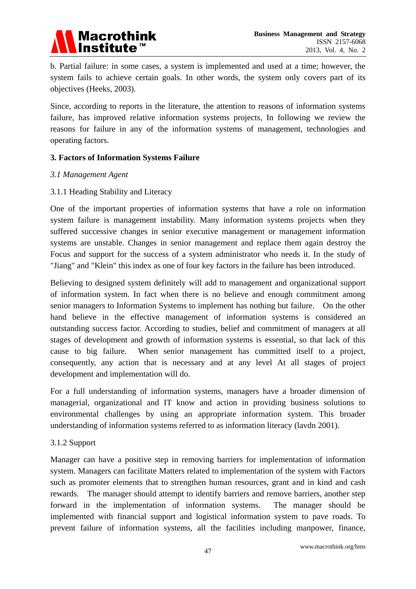

b. Partial failure: in some cases, a system is implemented and used at a time; however, the system fails to achieve certain goals. In other words, the system only covers part of its objectives (Heeks, 2003).

Since, according to reports in the literature, the attention to reasons of information systems failure, has improved relative information systems projects, In following we review the reasons for failure in any of the information systems of management, technologies and operating factors.

## **3. Factors of Information Systems Failure**

### *3.1 Management Agent*

## 3.1.1 Heading Stability and Literacy

One of the important properties of information systems that have a role on information system failure is management instability. Many information systems projects when they suffered successive changes in senior executive management or management information systems are unstable. Changes in senior management and replace them again destroy the Focus and support for the success of a system administrator who needs it. In the study of "Jiang" and "Klein" this index as one of four key factors in the failure has been introduced.

Believing to designed system definitely will add to management and organizational support of information system. In fact when there is no believe and enough commitment among senior managers to Information Systems to implement has nothing but failure. On the other hand believe in the effective management of information systems is considered an outstanding success factor. According to studies, belief and commitment of managers at all stages of development and growth of information systems is essential, so that lack of this cause to big failure. When senior management has committed itself to a project, consequently, any action that is necessary and at any level At all stages of project development and implementation will do.

For a full understanding of information systems, managers have a broader dimension of managerial, organizational and IT know and action in providing business solutions to environmental challenges by using an appropriate information system. This broader understanding of information systems referred to as information literacy (lavdn 2001).

### 3.1.2 Support

Manager can have a positive step in removing barriers for implementation of information system. Managers can facilitate Matters related to implementation of the system with Factors such as promoter elements that to strengthen human resources, grant and in kind and cash rewards. The manager should attempt to identify barriers and remove barriers, another step forward in the implementation of information systems. The manager should be implemented with financial support and logistical information system to pave roads. To prevent failure of information systems, all the facilities including manpower, finance,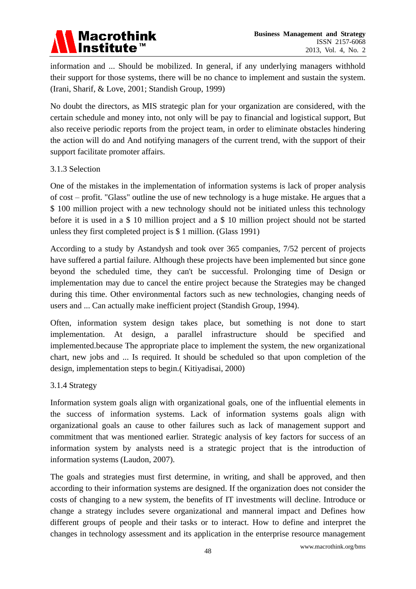

information and ... Should be mobilized. In general, if any underlying managers withhold their support for those systems, there will be no chance to implement and sustain the system. (Irani, Sharif, & Love, 2001; Standish Group, 1999)

No doubt the directors, as MIS strategic plan for your organization are considered, with the certain schedule and money into, not only will be pay to financial and logistical support, But also receive periodic reports from the project team, in order to eliminate obstacles hindering the action will do and And notifying managers of the current trend, with the support of their support facilitate promoter affairs.

# 3.1.3 Selection

One of the mistakes in the implementation of information systems is lack of proper analysis of cost – profit. "Glass" outline the use of new technology is a huge mistake. He argues that a \$ 100 million project with a new technology should not be initiated unless this technology before it is used in a \$ 10 million project and a \$ 10 million project should not be started unless they first completed project is \$ 1 million. (Glass 1991)

According to a study by Astandysh and took over 365 companies, 7/52 percent of projects have suffered a partial failure. Although these projects have been implemented but since gone beyond the scheduled time, they can't be successful. Prolonging time of Design or implementation may due to cancel the entire project because the Strategies may be changed during this time. Other environmental factors such as new technologies, changing needs of users and ... Can actually make inefficient project (Standish Group, 1994).

Often, information system design takes place, but something is not done to start implementation. At design, a parallel infrastructure should be specified and implemented.because The appropriate place to implement the system, the new organizational chart, new jobs and ... Is required. It should be scheduled so that upon completion of the design, implementation steps to begin.( Kitiyadisai, 2000)

# 3.1.4 Strategy

Information system goals align with organizational goals, one of the influential elements in the success of information systems. Lack of information systems goals align with organizational goals an cause to other failures such as lack of management support and commitment that was mentioned earlier. Strategic analysis of key factors for success of an information system by analysts need is a strategic project that is the introduction of information systems (Laudon, 2007).

The goals and strategies must first determine, in writing, and shall be approved, and then according to their information systems are designed. If the organization does not consider the costs of changing to a new system, the benefits of IT investments will decline. Introduce or change a strategy includes severe organizational and manneral impact and Defines how different groups of people and their tasks or to interact. How to define and interpret the changes in technology assessment and its application in the enterprise resource management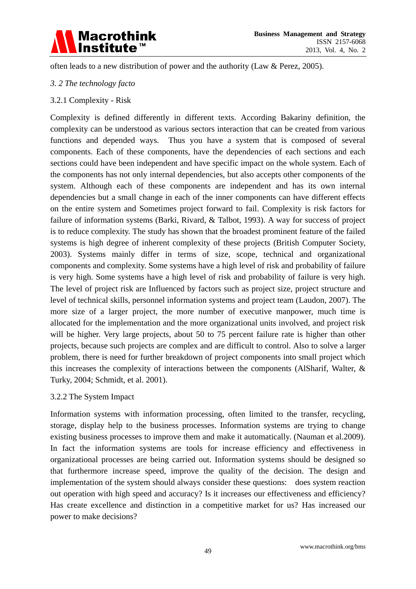

often leads to a new distribution of power and the authority (Law & Perez, 2005).

# *3. 2 The technology facto*

3.2.1 Complexity - Risk

Complexity is defined differently in different texts. According Bakariny definition, the complexity can be understood as various sectors interaction that can be created from various functions and depended ways. Thus you have a system that is composed of several components. Each of these components, have the dependencies of each sections and each sections could have been independent and have specific impact on the whole system. Each of the components has not only internal dependencies, but also accepts other components of the system. Although each of these components are independent and has its own internal dependencies but a small change in each of the inner components can have different effects on the entire system and Sometimes project forward to fail. Complexity is risk factors for failure of information systems (Barki, Rivard, & Talbot, 1993). A way for success of project is to reduce complexity. The study has shown that the broadest prominent feature of the failed systems is high degree of inherent complexity of these projects (British Computer Society, 2003). Systems mainly differ in terms of size, scope, technical and organizational components and complexity. Some systems have a high level of risk and probability of failure is very high. Some systems have a high level of risk and probability of failure is very high. The level of project risk are Influenced by factors such as project size, project structure and level of technical skills, personnel information systems and project team (Laudon, 2007). The more size of a larger project, the more number of executive manpower, much time is allocated for the implementation and the more organizational units involved, and project risk will be higher. Very large projects, about 50 to 75 percent failure rate is higher than other projects, because such projects are complex and are difficult to control. Also to solve a larger problem, there is need for further breakdown of project components into small project which this increases the complexity of interactions between the components (AlSharif, Walter, & Turky, 2004; Schmidt, et al. 2001).

# 3.2.2 The System Impact

Information systems with information processing, often limited to the transfer, recycling, storage, display help to the business processes. Information systems are trying to change existing business processes to improve them and make it automatically. (Nauman et al.2009). In fact the information systems are tools for increase efficiency and effectiveness in organizational processes are being carried out. Information systems should be designed so that furthermore increase speed, improve the quality of the decision. The design and implementation of the system should always consider these questions: does system reaction out operation with high speed and accuracy? Is it increases our effectiveness and efficiency? Has create excellence and distinction in a competitive market for us? Has increased our power to make decisions?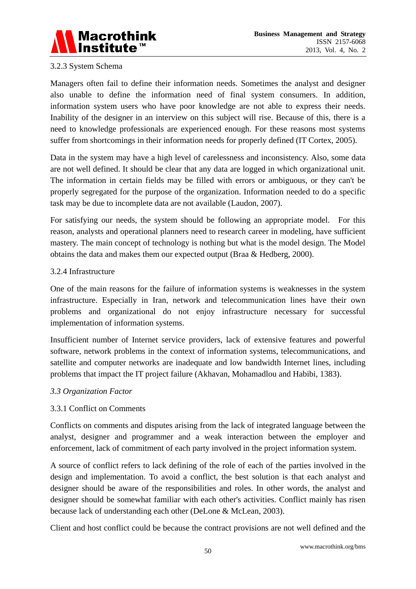

# 3.2.3 System Schema

Managers often fail to define their information needs. Sometimes the analyst and designer also unable to define the information need of final system consumers. In addition, information system users who have poor knowledge are not able to express their needs. Inability of the designer in an interview on this subject will rise. Because of this, there is a need to knowledge professionals are experienced enough. For these reasons most systems suffer from shortcomings in their information needs for properly defined (IT Cortex, 2005).

Data in the system may have a high level of carelessness and inconsistency. Also, some data are not well defined. It should be clear that any data are logged in which organizational unit. The information in certain fields may be filled with errors or ambiguous, or they can't be properly segregated for the purpose of the organization. Information needed to do a specific task may be due to incomplete data are not available (Laudon, 2007).

For satisfying our needs, the system should be following an appropriate model. For this reason, analysts and operational planners need to research career in modeling, have sufficient mastery. The main concept of technology is nothing but what is the model design. The Model obtains the data and makes them our expected output (Braa & Hedberg, 2000).

## 3.2.4 Infrastructure

One of the main reasons for the failure of information systems is weaknesses in the system infrastructure. Especially in Iran, network and telecommunication lines have their own problems and organizational do not enjoy infrastructure necessary for successful implementation of information systems.

Insufficient number of Internet service providers, lack of extensive features and powerful software, network problems in the context of information systems, telecommunications, and satellite and computer networks are inadequate and low bandwidth Internet lines, including problems that impact the IT project failure (Akhavan, Mohamadlou and Habibi, 1383).

### *3.3 Organization Factor*

# 3.3.1 Conflict on Comments

Conflicts on comments and disputes arising from the lack of integrated language between the analyst, designer and programmer and a weak interaction between the employer and enforcement, lack of commitment of each party involved in the project information system.

A source of conflict refers to lack defining of the role of each of the parties involved in the design and implementation. To avoid a conflict, the best solution is that each analyst and designer should be aware of the responsibilities and roles. In other words, the analyst and designer should be somewhat familiar with each other's activities. Conflict mainly has risen because lack of understanding each other (DeLone & McLean, 2003).

Client and host conflict could be because the contract provisions are not well defined and the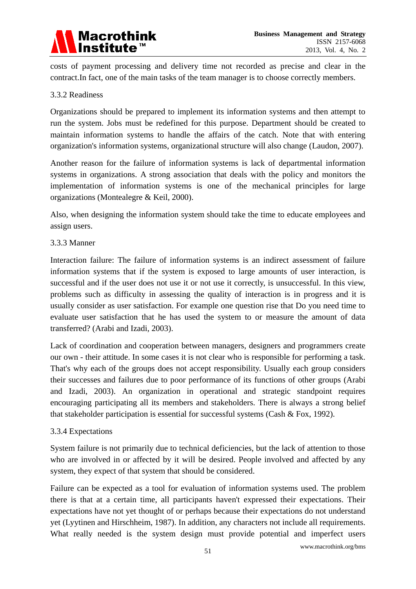

costs of payment processing and delivery time not recorded as precise and clear in the contract.In fact, one of the main tasks of the team manager is to choose correctly members.

## 3.3.2 Readiness

Organizations should be prepared to implement its information systems and then attempt to run the system. Jobs must be redefined for this purpose. Department should be created to maintain information systems to handle the affairs of the catch. Note that with entering organization's information systems, organizational structure will also change (Laudon, 2007).

Another reason for the failure of information systems is lack of departmental information systems in organizations. A strong association that deals with the policy and monitors the implementation of information systems is one of the mechanical principles for large organizations (Montealegre & Keil, 2000).

Also, when designing the information system should take the time to educate employees and assign users.

## 3.3.3 Manner

Interaction failure: The failure of information systems is an indirect assessment of failure information systems that if the system is exposed to large amounts of user interaction, is successful and if the user does not use it or not use it correctly, is unsuccessful. In this view, problems such as difficulty in assessing the quality of interaction is in progress and it is usually consider as user satisfaction. For example one question rise that Do you need time to evaluate user satisfaction that he has used the system to or measure the amount of data transferred? (Arabi and Izadi, 2003).

Lack of coordination and cooperation between managers, designers and programmers create our own - their attitude. In some cases it is not clear who is responsible for performing a task. That's why each of the groups does not accept responsibility. Usually each group considers their successes and failures due to poor performance of its functions of other groups (Arabi and Izadi, 2003). An organization in operational and strategic standpoint requires encouraging participating all its members and stakeholders. There is always a strong belief that stakeholder participation is essential for successful systems (Cash & Fox, 1992).

### 3.3.4 Expectations

System failure is not primarily due to technical deficiencies, but the lack of attention to those who are involved in or affected by it will be desired. People involved and affected by any system, they expect of that system that should be considered.

Failure can be expected as a tool for evaluation of information systems used. The problem there is that at a certain time, all participants haven't expressed their expectations. Their expectations have not yet thought of or perhaps because their expectations do not understand yet (Lyytinen and Hirschheim, 1987). In addition, any characters not include all requirements. What really needed is the system design must provide potential and imperfect users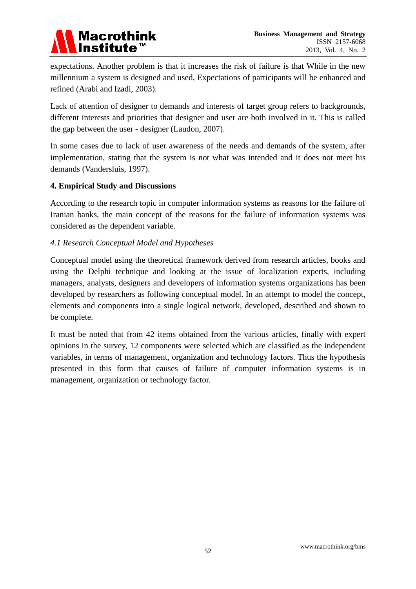

expectations. Another problem is that it increases the risk of failure is that While in the new millennium a system is designed and used, Expectations of participants will be enhanced and refined (Arabi and Izadi, 2003).

Lack of attention of designer to demands and interests of target group refers to backgrounds, different interests and priorities that designer and user are both involved in it. This is called the gap between the user - designer (Laudon, 2007).

In some cases due to lack of user awareness of the needs and demands of the system, after implementation, stating that the system is not what was intended and it does not meet his demands (Vandersluis, 1997).

# **4. Empirical Study and Discussions**

According to the research topic in computer information systems as reasons for the failure of Iranian banks, the main concept of the reasons for the failure of information systems was considered as the dependent variable.

## *4.1 Research Conceptual Model and Hypotheses*

Conceptual model using the theoretical framework derived from research articles, books and using the Delphi technique and looking at the issue of localization experts, including managers, analysts, designers and developers of information systems organizations has been developed by researchers as following conceptual model. In an attempt to model the concept, elements and components into a single logical network, developed, described and shown to be complete.

It must be noted that from 42 items obtained from the various articles, finally with expert opinions in the survey, 12 components were selected which are classified as the independent variables, in terms of management, organization and technology factors. Thus the hypothesis presented in this form that causes of failure of computer information systems is in management, organization or technology factor.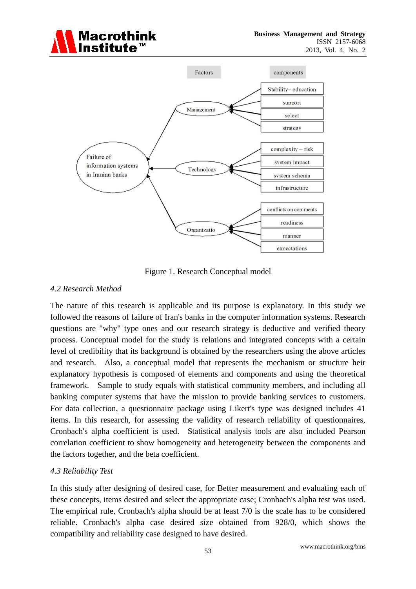



Figure 1. Research Conceptual model

## *4.2 Research Method*

The nature of this research is applicable and its purpose is explanatory. In this study we followed the reasons of failure of Iran's banks in the computer information systems. Research questions are "why" type ones and our research strategy is deductive and verified theory process. Conceptual model for the study is relations and integrated concepts with a certain level of credibility that its background is obtained by the researchers using the above articles and research. Also, a conceptual model that represents the mechanism or structure heir explanatory hypothesis is composed of elements and components and using the theoretical framework. Sample to study equals with statistical community members, and including all banking computer systems that have the mission to provide banking services to customers. For data collection, a questionnaire package using Likert's type was designed includes 41 items. In this research, for assessing the validity of research reliability of questionnaires, Cronbach's alpha coefficient is used. Statistical analysis tools are also included Pearson correlation coefficient to show homogeneity and heterogeneity between the components and the factors together, and the beta coefficient.

# *4.3 Reliability Test*

In this study after designing of desired case, for Better measurement and evaluating each of these concepts, items desired and select the appropriate case; Cronbach's alpha test was used. The empirical rule, Cronbach's alpha should be at least 7/0 is the scale has to be considered reliable. Cronbach's alpha case desired size obtained from 928/0, which shows the compatibility and reliability case designed to have desired.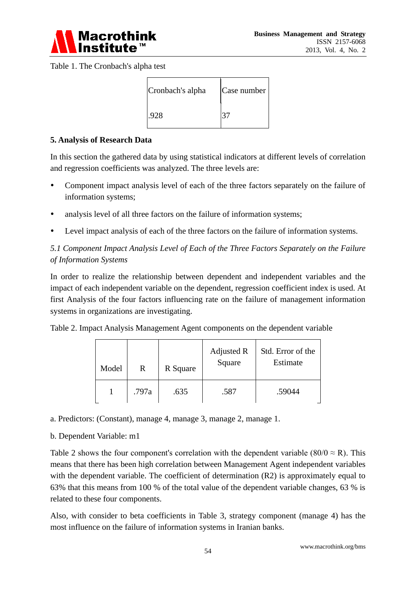

Table 1. The Cronbach's alpha test

| Cronbach's alpha | Case number |
|------------------|-------------|
| 1.928            |             |

# **5. Analysis of Research Data**

In this section the gathered data by using statistical indicators at different levels of correlation and regression coefficients was analyzed. The three levels are:

- Component impact analysis level of each of the three factors separately on the failure of information systems;
- analysis level of all three factors on the failure of information systems;
- Level impact analysis of each of the three factors on the failure of information systems.

*5.1 Component Impact Analysis Level of Each of the Three Factors Separately on the Failure of Information Systems*

In order to realize the relationship between dependent and independent variables and the impact of each independent variable on the dependent, regression coefficient index is used. At first Analysis of the four factors influencing rate on the failure of management information systems in organizations are investigating.

Table 2. Impact Analysis Management Agent components on the dependent variable

| Model | R     | R Square | <b>Adjusted R</b><br>Square | Std. Error of the<br>Estimate |
|-------|-------|----------|-----------------------------|-------------------------------|
|       | .797a | .635     | .587                        | .59044                        |

- a. Predictors: (Constant), manage 4, manage 3, manage 2, manage 1.
- b. Dependent Variable: m1

Table 2 shows the four component's correlation with the dependent variable (80/0  $\approx$  R). This means that there has been high correlation between Management Agent independent variables with the dependent variable. The coefficient of determination  $(R2)$  is approximately equal to 63% that this means from 100 % of the total value of the dependent variable changes, 63 % is related to these four components.

Also, with consider to beta coefficients in Table 3, strategy component (manage 4) has the most influence on the failure of information systems in Iranian banks.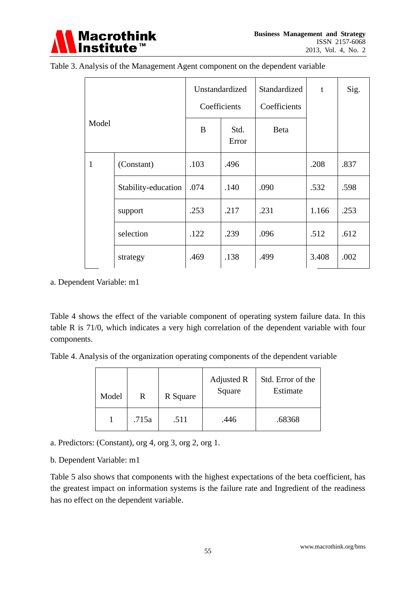

|              |                     | Unstandardized<br>Coefficients |               | Standardized<br>Coefficients | $\mathbf t$ | Sig. |
|--------------|---------------------|--------------------------------|---------------|------------------------------|-------------|------|
| Model        |                     | B                              | Std.<br>Error | Beta                         |             |      |
| $\mathbf{1}$ | (Constant)          | .103                           | .496          |                              | .208        | .837 |
|              | Stability-education | .074                           | .140          | .090                         | .532        | .598 |
|              | support             | .253                           | .217          | .231                         | 1.166       | .253 |
|              | selection           | .122                           | .239          | .096                         | .512        | .612 |
|              | strategy            | .469                           | .138          | .499                         | 3.408       | .002 |

Table 3. Analysis of the Management Agent component on the dependent variable

a. Dependent Variable: m1

Table 4 shows the effect of the variable component of operating system failure data. In this table R is 71/0, which indicates a very high correlation of the dependent variable with four components.

| Table 4. Analysis of the organization operating components of the dependent variable |  |  |
|--------------------------------------------------------------------------------------|--|--|

| Model | R     | R Square | Adjusted R<br>Square | Std. Error of the<br>Estimate |
|-------|-------|----------|----------------------|-------------------------------|
|       | .715a | .511     | .446                 | .68368                        |

a. Predictors: (Constant), org 4, org 3, org 2, org 1.

### b. Dependent Variable: m1

Table 5 also shows that components with the highest expectations of the beta coefficient, has the greatest impact on information systems is the failure rate and Ingredient of the readiness has no effect on the dependent variable.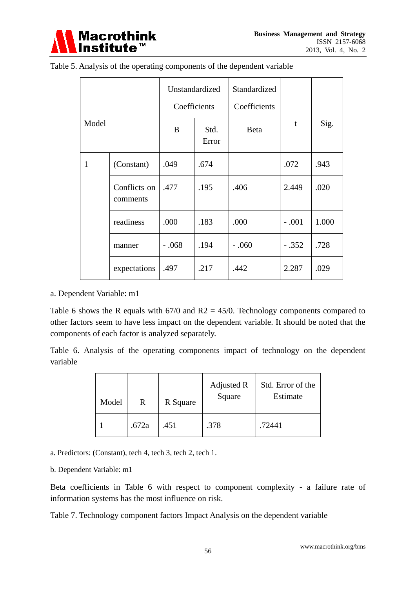

|              |                          | Unstandardized<br>Coefficients |               | Standardized<br>Coefficients |         |       |
|--------------|--------------------------|--------------------------------|---------------|------------------------------|---------|-------|
| Model        |                          | B                              | Std.<br>Error | Beta                         | t       | Sig.  |
| $\mathbf{1}$ | (Constant)               | .049                           | .674          |                              | .072    | .943  |
|              | Conflicts on<br>comments | .477                           | .195          | .406                         | 2.449   | .020  |
|              | readiness                | .000                           | .183          | .000                         | $-.001$ | 1.000 |
|              | manner                   | $-.068$                        | .194          | $-.060$                      | $-.352$ | .728  |
|              | expectations             | .497                           | .217          | .442                         | 2.287   | .029  |

|  |  | Table 5. Analysis of the operating components of the dependent variable |  |  |
|--|--|-------------------------------------------------------------------------|--|--|
|  |  |                                                                         |  |  |

#### a. Dependent Variable: m1

Table 6 shows the R equals with  $67/0$  and  $R2 = 45/0$ . Technology components compared to other factors seem to have less impact on the dependent variable. It should be noted that the components of each factor is analyzed separately.

Table 6. Analysis of the operating components impact of technology on the dependent variable

| Model | R     | R Square | Adjusted R<br>Square | Std. Error of the<br>Estimate |
|-------|-------|----------|----------------------|-------------------------------|
|       | .672a | .451     | .378                 | .72441                        |

a. Predictors: (Constant), tech 4, tech 3, tech 2, tech 1.

### b. Dependent Variable: m1

Beta coefficients in Table 6 with respect to component complexity - a failure rate of information systems has the most influence on risk.

Table 7. Technology component factors Impact Analysis on the dependent variable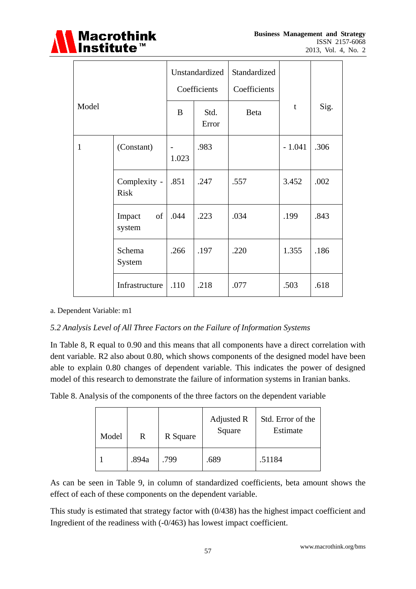

|              |                             | Unstandardized |               | Standardized |          |      |
|--------------|-----------------------------|----------------|---------------|--------------|----------|------|
|              |                             |                | Coefficients  | Coefficients |          |      |
| Model        |                             | B              | Std.<br>Error | <b>B</b> eta | t        | Sig. |
| $\mathbf{1}$ | (Constant)                  | 1.023          | .983          |              | $-1.041$ | .306 |
|              | Complexity -<br><b>Risk</b> | .851           | .247          | .557         | 3.452    | .002 |
|              | of<br>Impact<br>system      | .044           | .223          | .034         | .199     | .843 |
|              | Schema<br>System            | .266           | .197          | .220         | 1.355    | .186 |
|              | Infrastructure              | .110           | .218          | .077         | .503     | .618 |

a. Dependent Variable: m1

# *5.2 Analysis Level of All Three Factors on the Failure of Information Systems*

In Table 8, R equal to 0.90 and this means that all components have a direct correlation with dent variable. R2 also about 0.80, which shows components of the designed model have been able to explain 0.80 changes of dependent variable. This indicates the power of designed model of this research to demonstrate the failure of information systems in Iranian banks.

Table 8. Analysis of the components of the three factors on the dependent variable

| Model | R     | R Square | Adjusted R<br>Square | Std. Error of the<br>Estimate |
|-------|-------|----------|----------------------|-------------------------------|
|       | .894a | .799     | .689                 | .51184                        |

As can be seen in Table 9, in column of standardized coefficients, beta amount shows the effect of each of these components on the dependent variable.

This study is estimated that strategy factor with (0/438) has the highest impact coefficient and Ingredient of the readiness with (-0/463) has lowest impact coefficient.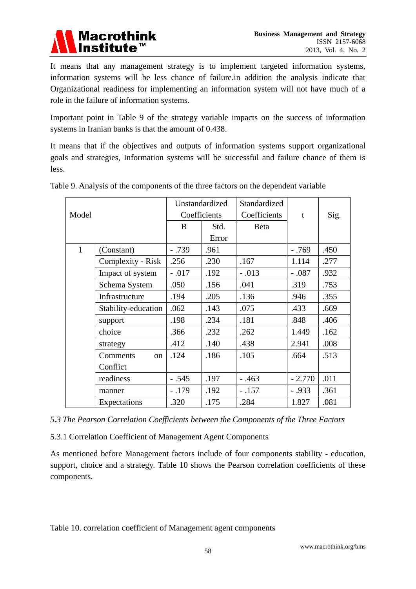

It means that any management strategy is to implement targeted information systems, information systems will be less chance of failure.in addition the analysis indicate that Organizational readiness for implementing an information system will not have much of a role in the failure of information systems.

Important point in Table 9 of the strategy variable impacts on the success of information systems in Iranian banks is that the amount of 0.438.

It means that if the objectives and outputs of information systems support organizational goals and strategies, Information systems will be successful and failure chance of them is less.

|       |                           | Unstandardized |       | Standardized |          |      |
|-------|---------------------------|----------------|-------|--------------|----------|------|
| Model |                           | Coefficients   |       | Coefficients | t        | Sig. |
|       |                           | B              | Std.  | Beta         |          |      |
|       |                           |                | Error |              |          |      |
| 1     | (Constant)                | $-.739$        | .961  |              | $-.769$  | .450 |
|       | Complexity - Risk         | .256           | .230  | .167         | 1.114    | .277 |
|       | Impact of system          | $-.017$        | .192  | $-.013$      | $-.087$  | .932 |
|       | Schema System             | .050           | .156  | .041         | .319     | .753 |
|       | Infrastructure            | .194           | .205  | .136         | .946     | .355 |
|       | Stability-education       | .062           | .143  | .075         | .433     | .669 |
|       | support                   | .198           | .234  | .181         | .848     | .406 |
|       | choice                    | .366           | .232  | .262         | 1.449    | .162 |
|       | strategy                  | .412           | .140  | .438         | 2.941    | .008 |
|       | Comments<br><sub>on</sub> | .124           | .186  | .105         | .664     | .513 |
|       | Conflict                  |                |       |              |          |      |
|       | readiness                 | - .545         | .197  | $-.463$      | $-2.770$ | .011 |
|       | manner                    | $-.179$        | .192  | $-.157$      | $-.933$  | .361 |
|       | Expectations              | .320           | .175  | .284         | 1.827    | .081 |

Table 9. Analysis of the components of the three factors on the dependent variable

*5.3 The Pearson Correlation Coefficients between the Components of the Three Factors*

5.3.1 Correlation Coefficient of Management Agent Components

As mentioned before Management factors include of four components stability - education, support, choice and a strategy. Table 10 shows the Pearson correlation coefficients of these components.

Table 10. correlation coefficient of Management agent components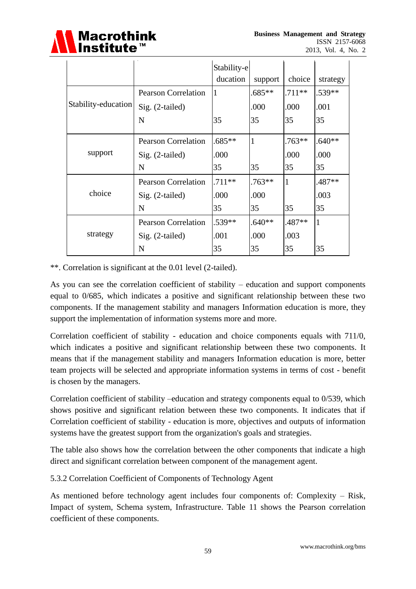

|                     |                            | Stability-e |              |          |              |
|---------------------|----------------------------|-------------|--------------|----------|--------------|
|                     |                            | ducation    | support      | choice   | strategy     |
|                     | <b>Pearson Correlation</b> | 1           | $.685**$     | $.711**$ | .539**       |
| Stability-education | Sig. (2-tailed)            |             | .000         | .000     | .001         |
|                     | N                          | 35          | 35           | 35       | 35           |
|                     | <b>Pearson Correlation</b> | $.685**$    | $\mathbf{1}$ | $.763**$ | $.640**$     |
| support             | $Sig. (2-tailed)$          | .000        |              | .000     | .000         |
|                     | N                          | 35          | 35           | 35       | 35           |
|                     | <b>Pearson Correlation</b> | $.711**$    | $.763**$     |          | .487**       |
| choice              | $Sig. (2-tailed)$          | .000        | .000         |          | .003         |
|                     | N                          | 35          | 35           | 35       | 35           |
|                     | <b>Pearson Correlation</b> | .539**      | $.640**$     | .487**   | $\mathbf{1}$ |
| strategy            | $Sig. (2-tailed)$          | .001        | .000         | .003     |              |
|                     | N                          | 35          | 35           | 35       | 35           |

\*\*. Correlation is significant at the 0.01 level (2-tailed).

As you can see the correlation coefficient of stability – education and support components equal to 0/685, which indicates a positive and significant relationship between these two components. If the management stability and managers Information education is more, they support the implementation of information systems more and more.

Correlation coefficient of stability - education and choice components equals with 711/0, which indicates a positive and significant relationship between these two components. It means that if the management stability and managers Information education is more, better team projects will be selected and appropriate information systems in terms of cost - benefit is chosen by the managers.

Correlation coefficient of stability –education and strategy components equal to 0/539, which shows positive and significant relation between these two components. It indicates that if Correlation coefficient of stability - education is more, objectives and outputs of information systems have the greatest support from the organization's goals and strategies.

The table also shows how the correlation between the other components that indicate a high direct and significant correlation between component of the management agent.

5.3.2 Correlation Coefficient of Components of Technology Agent

As mentioned before technology agent includes four components of: Complexity – Risk, Impact of system, Schema system, Infrastructure. Table 11 shows the Pearson correlation coefficient of these components.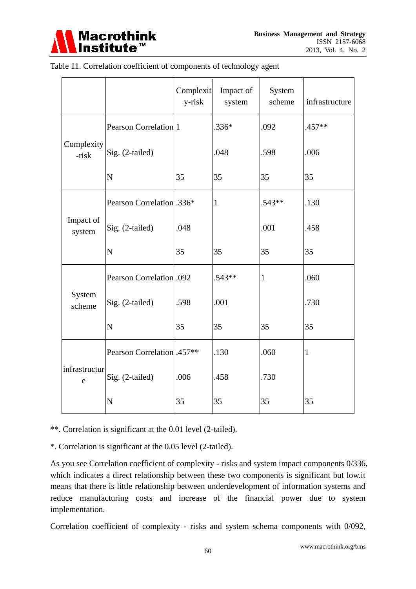

|                     |                                  | Complexit<br>y-risk | Impact of<br>system | System<br>scheme | infrastructure |
|---------------------|----------------------------------|---------------------|---------------------|------------------|----------------|
|                     | Pearson Correlation <sup>1</sup> |                     | $.336*$             | .092             | $.457**$       |
| Complexity<br>-risk | Sig. (2-tailed)                  |                     | .048                | .598             | .006           |
|                     | N                                | 35                  | 35                  | 35               | 35             |
|                     | Pearson Correlation 336*         |                     | $\mathbf 1$         | $.543**$         | .130           |
| Impact of<br>system | Sig. (2-tailed)                  | .048                |                     | .001             | .458           |
|                     | N                                | 35                  | 35                  | 35               | 35             |
|                     | Pearson Correlation.092          |                     | $.543**$            | $\mathbf{1}$     | .060           |
| System<br>scheme    | Sig. (2-tailed)                  | .598                | .001                |                  | .730           |
|                     | $\overline{\rm N}$               | 35                  | 35                  | 35               | 35             |
|                     | Pearson Correlation 457**        |                     | .130                | .060             | $\mathbf{1}$   |
| infrastructur<br>e  | Sig. (2-tailed)                  | .006                | .458                | .730             |                |
|                     | $\mathbf N$                      | 35                  | 35                  | 35               | 35             |

\*\*. Correlation is significant at the 0.01 level (2-tailed).

\*. Correlation is significant at the 0.05 level (2-tailed).

As you see Correlation coefficient of complexity - risks and system impact components 0/336, which indicates a direct relationship between these two components is significant but low.it means that there is little relationship between underdevelopment of information systems and reduce manufacturing costs and increase of the financial power due to system implementation.

Correlation coefficient of complexity - risks and system schema components with 0/092,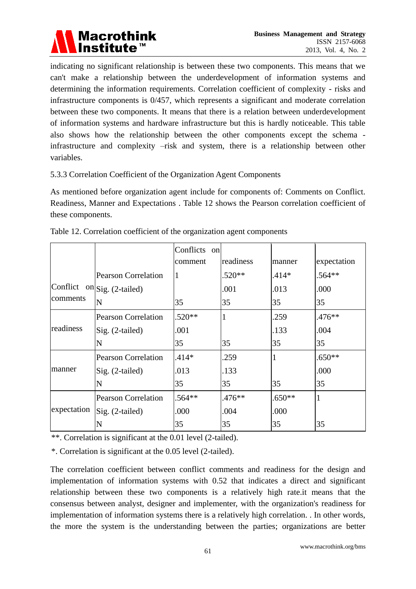

indicating no significant relationship is between these two components. This means that we can't make a relationship between the underdevelopment of information systems and determining the information requirements. Correlation coefficient of complexity - risks and infrastructure components is 0/457, which represents a significant and moderate correlation between these two components. It means that there is a relation between underdevelopment of information systems and hardware infrastructure but this is hardly noticeable. This table also shows how the relationship between the other components except the schema infrastructure and complexity –risk and system, there is a relationship between other variables.

# 5.3.3 Correlation Coefficient of the Organization Agent Components

As mentioned before organization agent include for components of: Comments on Conflict. Readiness, Manner and Expectations . Table 12 shows the Pearson correlation coefficient of these components.

|             |                                      | Conflicts on |           |          |              |
|-------------|--------------------------------------|--------------|-----------|----------|--------------|
|             |                                      | comment      | readiness | manner   | expectation  |
|             | <b>Pearson Correlation</b>           |              | $.520**$  | $.414*$  | $.564**$     |
|             | Conflict on $\text{Sig.}$ (2-tailed) |              | .001      | .013     | .000         |
| comments    | N                                    | 35           | 35        | 35       | 35           |
|             | <b>Pearson Correlation</b>           | $.520**$     |           | .259     | $.476**$     |
| readiness   | $\text{Sig.}$ (2-tailed)             | .001         |           | .133     | .004         |
|             | N                                    | 35           | 35        | 35       | 35           |
|             | <b>Pearson Correlation</b>           | $.414*$      | .259      |          | $.650**$     |
| manner      | Sig. (2-tailed)                      | .013         | .133      |          | .000         |
|             | N                                    | 35           | 35        | 35       | 35           |
|             | <b>Pearson Correlation</b>           | $.564**$     | $.476**$  | $.650**$ | $\mathbf{I}$ |
| expectation | Sig. (2-tailed)                      | .000         | .004      | .000     |              |
|             | N                                    | 35           | 35        | 35       | 35           |

Table 12. Correlation coefficient of the organization agent components

\*\*. Correlation is significant at the 0.01 level (2-tailed).

\*. Correlation is significant at the 0.05 level (2-tailed).

The correlation coefficient between conflict comments and readiness for the design and implementation of information systems with 0.52 that indicates a direct and significant relationship between these two components is a relatively high rate.it means that the consensus between analyst, designer and implementer, with the organization's readiness for implementation of information systems there is a relatively high correlation. . In other words, the more the system is the understanding between the parties; organizations are better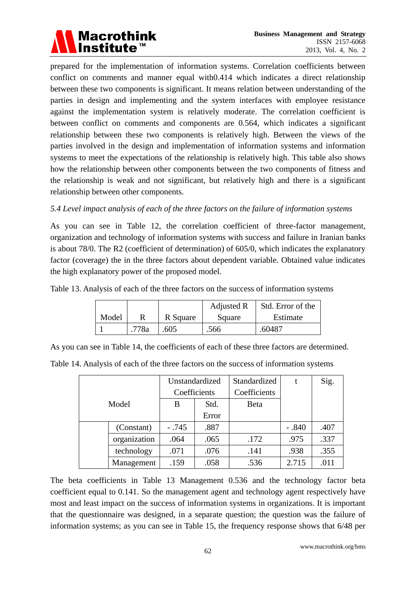

prepared for the implementation of information systems. Correlation coefficients between conflict on comments and manner equal with0.414 which indicates a direct relationship between these two components is significant. It means relation between understanding of the parties in design and implementing and the system interfaces with employee resistance against the implementation system is relatively moderate. The correlation coefficient is between conflict on comments and components are 0.564, which indicates a significant relationship between these two components is relatively high. Between the views of the parties involved in the design and implementation of information systems and information systems to meet the expectations of the relationship is relatively high. This table also shows how the relationship between other components between the two components of fitness and the relationship is weak and not significant, but relatively high and there is a significant relationship between other components.

# *5.4 Level impact analysis of each of the three factors on the failure of information systems*

As you can see in Table 12, the correlation coefficient of three-factor management, organization and technology of information systems with success and failure in Iranian banks is about 78/0. The R2 (coefficient of determination) of 605/0, which indicates the explanatory factor (coverage) the in the three factors about dependent variable. Obtained value indicates the high explanatory power of the proposed model.

|       |          |        | Adjusted $R$   Std. Error of the |
|-------|----------|--------|----------------------------------|
| Model | R Square | Square | Estimate                         |

Table 13. Analysis of each of the three factors on the success of information systems

| As you can see in Table 14, the coefficients of each of these three factors are determined. |  |  |  |  |  |  |  |  |
|---------------------------------------------------------------------------------------------|--|--|--|--|--|--|--|--|
|                                                                                             |  |  |  |  |  |  |  |  |

|  |  | Table 14. Analysis of each of the three factors on the success of information systems |  |  |  |
|--|--|---------------------------------------------------------------------------------------|--|--|--|
|  |  |                                                                                       |  |  |  |

1 .778a .605 .566 .60487

|       |              | Unstandardized |       | Standardized |         | Sig. |
|-------|--------------|----------------|-------|--------------|---------|------|
|       |              | Coefficients   |       | Coefficients |         |      |
| Model |              | B              | Std.  | <b>B</b> eta |         |      |
|       |              |                | Error |              |         |      |
|       | (Constant)   | $-.745$        | .887  |              | $-.840$ | .407 |
|       | organization | .064           | .065  | .172         | .975    | .337 |
|       | technology   | .071           | .076  | .141         | .938    | .355 |
|       | Management   | .159           | .058  | .536         | 2.715   | .011 |

The beta coefficients in Table 13 Management 0.536 and the technology factor beta coefficient equal to 0.141. So the management agent and technology agent respectively have most and least impact on the success of information systems in organizations. It is important that the questionnaire was designed, in a separate question; the question was the failure of information systems; as you can see in Table 15, the frequency response shows that 6/48 per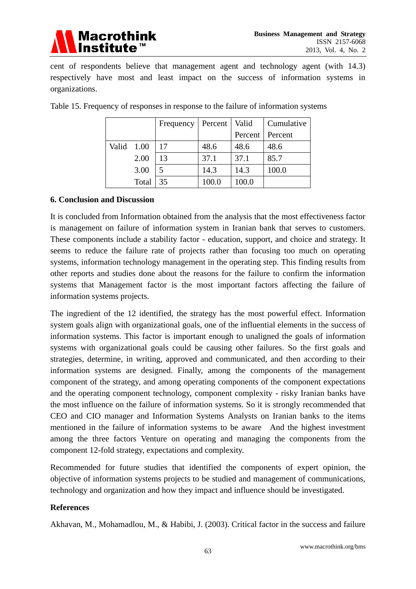

cent of respondents believe that management agent and technology agent (with 14.3) respectively have most and least impact on the success of information systems in organizations.

|       |       | Frequency | Percent | Valid   | Cumulative |
|-------|-------|-----------|---------|---------|------------|
|       |       |           |         | Percent | Percent    |
| Valid | 1.00  | 17        | 48.6    | 48.6    | 48.6       |
|       | 2.00  | 13        | 37.1    | 37.1    | 85.7       |
|       | 3.00  |           | 14.3    | 14.3    | 100.0      |
|       | Total | 35        | 100.0   | 100.0   |            |

Table 15. Frequency of responses in response to the failure of information systems

### **6. Conclusion and Discussion**

It is concluded from Information obtained from the analysis that the most effectiveness factor is management on failure of information system in Iranian bank that serves to customers. These components include a stability factor - education, support, and choice and strategy. It seems to reduce the failure rate of projects rather than focusing too much on operating systems, information technology management in the operating step. This finding results from other reports and studies done about the reasons for the failure to confirm the information systems that Management factor is the most important factors affecting the failure of information systems projects.

The ingredient of the 12 identified, the strategy has the most powerful effect. Information system goals align with organizational goals, one of the influential elements in the success of information systems. This factor is important enough to unaligned the goals of information systems with organizational goals could be causing other failures. So the first goals and strategies, determine, in writing, approved and communicated, and then according to their information systems are designed. Finally, among the components of the management component of the strategy, and among operating components of the component expectations and the operating component technology, component complexity - risky Iranian banks have the most influence on the failure of information systems. So it is strongly recommended that CEO and CIO manager and Information Systems Analysts on Iranian banks to the items mentioned in the failure of information systems to be aware And the highest investment among the three factors Venture on operating and managing the components from the component 12-fold strategy, expectations and complexity.

Recommended for future studies that identified the components of expert opinion, the objective of information systems projects to be studied and management of communications, technology and organization and how they impact and influence should be investigated.

# **References**

Akhavan, M., Mohamadlou, M., & Habibi, J. (2003). Critical factor in the success and failure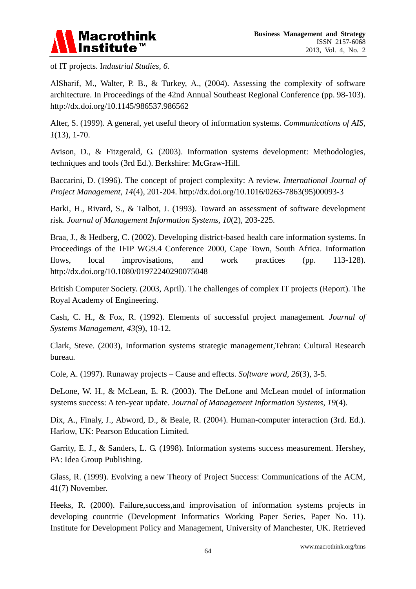

of IT projects. I*ndustrial Studies, 6.*

AlSharif, M., Walter, P. B., & Turkey, A., (2004). Assessing the complexity of software architecture. In Proceedings of the 42nd Annual Southeast Regional Conference (pp. 98-103). http://dx.doi.org/10.1145/986537.986562

Alter, S. (1999). A general, yet useful theory of information systems. *Communications of AIS, 1*(13), 1-70.

Avison, D., & Fitzgerald, G. (2003). Information systems development: Methodologies, techniques and tools (3rd Ed.). Berkshire: McGraw-Hill.

Baccarini, D. (1996). The concept of project complexity: A review. *International Journal of Project Management, 14*(4), 201-204. http://dx.doi.org/10.1016/0263-7863(95)00093-3

Barki, H., Rivard, S., & Talbot, J. (1993). Toward an assessment of software development risk. *Journal of Management Information Systems, 10*(2), 203-225.

Braa, J., & Hedberg, C. (2002). Developing district-based health care information systems. In Proceedings of the IFIP WG9.4 Conference 2000, Cape Town, South Africa. Information flows, local improvisations, and work practices (pp. 113-128). http://dx.doi.org/10.1080/01972240290075048

British Computer Society. (2003, April). The challenges of complex IT projects (Report). The Royal Academy of Engineering.

Cash, C. H., & Fox, R. (1992). Elements of successful project management. *Journal of Systems Management, 43*(9), 10-12.

Clark, Steve. (2003), Information systems strategic management,Tehran: Cultural Research bureau.

Cole, A. (1997). Runaway projects – Cause and effects. *Software word, 26*(3), 3-5.

DeLone, W. H., & McLean, E. R. (2003). The DeLone and McLean model of information systems success: A ten-year update. *Journal of Management Information Systems, 19*(4).

Dix, A., Finaly, J., Abword, D., & Beale, R. (2004). Human-computer interaction (3rd. Ed.). Harlow, UK: Pearson Education Limited.

Garrity, E. J., & Sanders, L. G. (1998). Information systems success measurement. Hershey, PA: Idea Group Publishing.

Glass, R. (1999). Evolving a new Theory of Project Success: Communications of the ACM, 41(7) November.

Heeks, R. (2000). Failure,success,and improvisation of information systems projects in developing countrrie (Development Informatics Working Paper Series, Paper No. 11). Institute for Development Policy and Management, University of Manchester, UK. Retrieved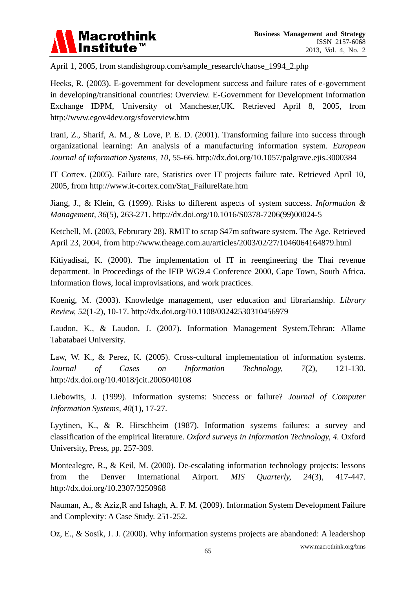

April 1, 2005, from standishgroup.com/sample\_research/chaose\_1994\_2.php

Heeks, R. (2003). E-government for development success and failure rates of e-government in developing/transitional countries: Overview. E-Government for Development Information Exchange IDPM, University of Manchester,UK. Retrieved April 8, 2005, from <http://www.egov4dev.org/sfoverview.htm>

Irani, Z., Sharif, A. M., & Love, P. E. D. (2001). Transforming failure into success through organizational learning: An analysis of a manufacturing information system. *European Journal of Information Systems, 10,* 55-66. http://dx.doi.org/10.1057/palgrave.ejis.3000384

IT Cortex. (2005). Failure rate, Statistics over IT projects failure rate. Retrieved April 10, 2005, from [http://www.it-cortex.com/Stat\\_FailureRate.htm](http://www.it-cortex.com/Stat_FailureRate.htm)

Jiang, J., & Klein, G. (1999). Risks to different aspects of system success. *Information & Management, 36*(5), 263-271. http://dx.doi.org/10.1016/S0378-7206(99)00024-5

Ketchell, M. (2003, Februrary 28). RMIT to scrap \$47m software system. The Age. Retrieved April 23, 2004, from<http://www.theage.com.au/articles/2003/02/27/1046064164879.html>

Kitiyadisai, K. (2000). The implementation of IT in reengineering the Thai revenue department. In Proceedings of the IFIP WG9.4 Conference 2000, Cape Town, South Africa. Information flows, local improvisations, and work practices.

Koenig, M. (2003). Knowledge management, user education and librarianship. *Library Review, 52*(1-2), 10-17. http://dx.doi.org/10.1108/00242530310456979

Laudon, K., & Laudon, J. (2007). Information Management System.Tehran: Allame Tabatabaei University.

Law, W. K., & Perez, K. (2005). Cross-cultural implementation of information systems. *Journal of Cases on Information Technology, 7*(2), 121-130. http://dx.doi.org/10.4018/jcit.2005040108

Liebowits, J. (1999). Information systems: Success or failure? *Journal of Computer Information Systems, 40*(1), 17-27.

Lyytinen, K., & R. Hirschheim (1987). Information systems failures: a survey and classification of the empirical literature. *Oxford surveys in Information Technology, 4.* Oxford University, Press, pp. 257-309.

Montealegre, R., & Keil, M. (2000). De-escalating information technology projects: lessons from the Denver International Airport. *MIS Quarterly, 24*(3), 417-447. http://dx.doi.org/10.2307/3250968

Nauman, A., & Aziz,R and Ishagh, A. F. M. (2009). Information System Development Failure and Complexity: A Case Study. 251-252.

Oz, E., & Sosik, J. J. (2000). Why information systems projects are abandoned: A leadershop